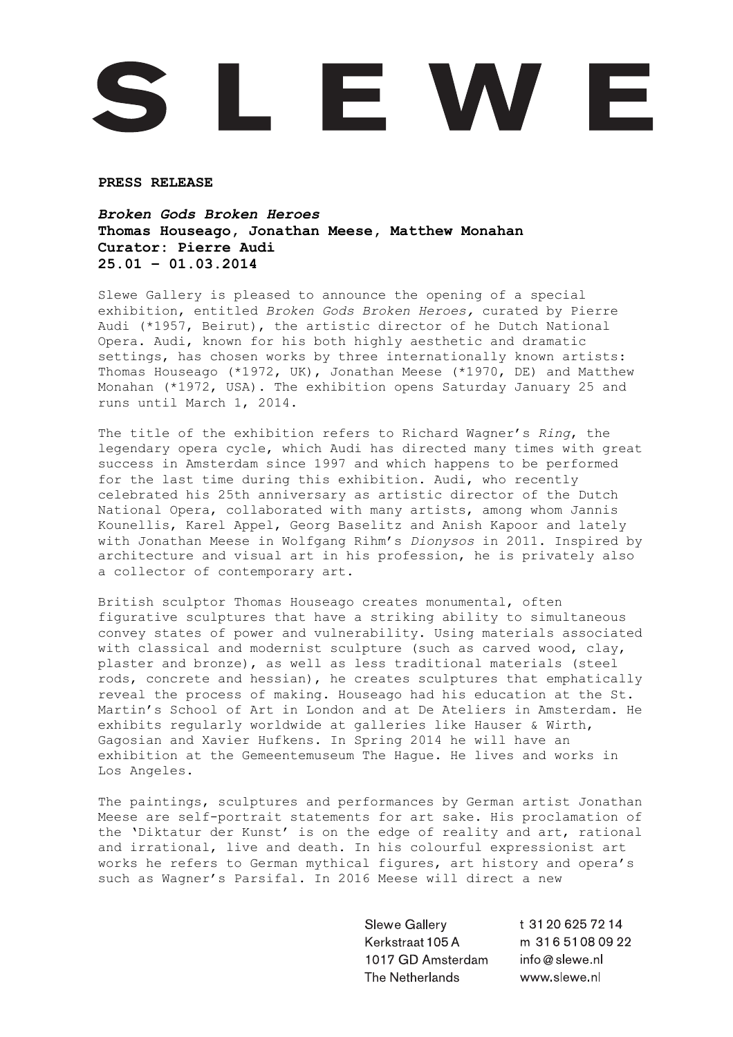## L E W E

**PRESS RELEASE**

## *Broken Gods Broken Heroes* **Thomas Houseago, Jonathan Meese, Matthew Monahan Curator: Pierre Audi 25.01 – 01.03.2014**

Slewe Gallery is pleased to announce the opening of a special exhibition, entitled *Broken Gods Broken Heroes,* curated by Pierre Audi (\*1957, Beirut), the artistic director of he Dutch National Opera. Audi, known for his both highly aesthetic and dramatic settings, has chosen works by three internationally known artists: Thomas Houseago (\*1972, UK), Jonathan Meese (\*1970, DE) and Matthew Monahan (\*1972, USA). The exhibition opens Saturday January 25 and runs until March 1, 2014.

The title of the exhibition refers to Richard Wagner's *Ring*, the legendary opera cycle, which Audi has directed many times with great success in Amsterdam since 1997 and which happens to be performed for the last time during this exhibition. Audi, who recently celebrated his 25th anniversary as artistic director of the Dutch National Opera, collaborated with many artists, among whom Jannis Kounellis, Karel Appel, Georg Baselitz and Anish Kapoor and lately with Jonathan Meese in Wolfgang Rihm's *Dionysos* in 2011. Inspired by architecture and visual art in his profession, he is privately also a collector of contemporary art.

British sculptor Thomas Houseago creates monumental, often figurative sculptures that have a striking ability to simultaneous convey states of power and vulnerability. Using materials associated with classical and modernist sculpture (such as carved wood, clay, plaster and bronze), as well as less traditional materials (steel rods, concrete and hessian), he creates sculptures that emphatically reveal the process of making. Houseago had his education at the St. Martin's School of Art in London and at De Ateliers in Amsterdam. He exhibits regularly worldwide at galleries like Hauser & Wirth, Gagosian and Xavier Hufkens. In Spring 2014 he will have an exhibition at the Gemeentemuseum The Hague. He lives and works in Los Angeles.

The paintings, sculptures and performances by German artist Jonathan Meese are self-portrait statements for art sake. His proclamation of the 'Diktatur der Kunst' is on the edge of reality and art, rational and irrational, live and death. In his colourful expressionist art works he refers to German mythical figures, art history and opera's such as Wagner's Parsifal. In 2016 Meese will direct a new

> Slewe Gallery Kerkstraat 105 A 1017 GD Amsterdam The Netherlands

t 31 20 6 25 7 2 14 m 31651080922 info@slewe.nl www.slewe.nl